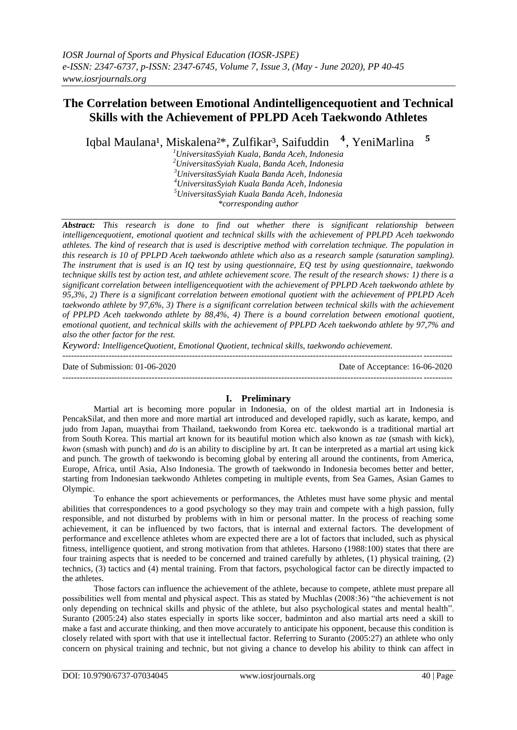# **The Correlation between Emotional Andintelligencequotient and Technical Skills with the Achievement of PPLPD Aceh Taekwondo Athletes**

Iqbal Maulana<sup>1</sup>, Miskalena<sup>2\*</sup>, Zulfikar<sup>3</sup>, Saifuddin <sup>4</sup>. YeniMarlina <sup>5</sup>

> *UniversitasSyiah Kuala, Banda Aceh, Indonesia UniversitasSyiah Kuala, Banda Aceh, Indonesia UniversitasSyiah Kuala Banda Aceh, Indonesia UniversitasSyiah Kuala Banda Aceh, Indonesia UniversitasSyiah Kuala Banda Aceh, Indonesia \*corresponding author*

*Abstract: This research is done to find out whether there is significant relationship between intelligencequotient, emotional quotient and technical skills with the achievement of PPLPD Aceh taekwondo athletes. The kind of research that is used is descriptive method with correlation technique. The population in this research is 10 of PPLPD Aceh taekwondo athlete which also as a research sample (saturation sampling). The instrument that is used is an IQ test by using questionnaire, EQ test by using questionnaire, taekwondo technique skills test by action test, and athlete achievement score. The result of the research shows: 1) there is a significant correlation between intelligencequotient with the achievement of PPLPD Aceh taekwondo athlete by 95,3%, 2) There is a significant correlation between emotional quotient with the achievement of PPLPD Aceh taekwondo athlete by 97,6%, 3) There is a significant correlation between technical skills with the achievement of PPLPD Aceh taekwondo athlete by 88,4%, 4) There is a bound correlation between emotional quotient, emotional quotient, and technical skills with the achievement of PPLPD Aceh taekwondo athlete by 97,7% and also the other factor for the rest.*

*Keyword: IntelligenceQuotient, Emotional Quotient, technical skills, taekwondo achievement.* ---------------------------------------------------------------------------------------------------------------------------------------

---------------------------------------------------------------------------------------------------------------------------------------

Date of Submission: 01-06-2020 Date of Acceptance: 16-06-2020

# **I. Preliminary**

Martial art is becoming more popular in Indonesia, on of the oldest martial art in Indonesia is PencakSilat, and then more and more martial art introduced and developed rapidly, such as karate, kempo, and judo from Japan, muaythai from Thailand, taekwondo from Korea etc. taekwondo is a traditional martial art from South Korea. This martial art known for its beautiful motion which also known as *tae* (smash with kick), *kwon* (smash with punch) and *do* is an ability to discipline by art. It can be interpreted as a martial art using kick and punch. The growth of taekwondo is becoming global by entering all around the continents, from America, Europe, Africa, until Asia, Also Indonesia. The growth of taekwondo in Indonesia becomes better and better, starting from Indonesian taekwondo Athletes competing in multiple events, from Sea Games, Asian Games to Olympic.

To enhance the sport achievements or performances, the Athletes must have some physic and mental abilities that correspondences to a good psychology so they may train and compete with a high passion, fully responsible, and not disturbed by problems with in him or personal matter. In the process of reaching some achievement, it can be influenced by two factors, that is internal and external factors. The development of performance and excellence athletes whom are expected there are a lot of factors that included, such as physical fitness, intelligence quotient, and strong motivation from that athletes. Harsono (1988:100) states that there are four training aspects that is needed to be concerned and trained carefully by athletes, (1) physical training, (2) technics, (3) tactics and (4) mental training. From that factors, psychological factor can be directly impacted to the athletes.

Those factors can influence the achievement of the athlete, because to compete, athlete must prepare all possibilities well from mental and physical aspect. This as stated by Muchlas (2008:36) "the achievement is not only depending on technical skills and physic of the athlete, but also psychological states and mental health". Suranto (2005:24) also states especially in sports like soccer, badminton and also martial arts need a skill to make a fast and accurate thinking, and then move accurately to anticipate his opponent, because this condition is closely related with sport with that use it intellectual factor. Referring to Suranto (2005:27) an athlete who only concern on physical training and technic, but not giving a chance to develop his ability to think can affect in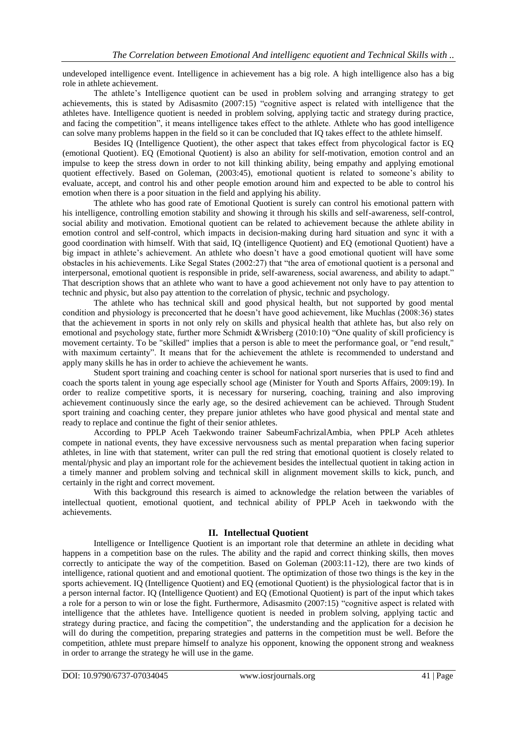undeveloped intelligence event. Intelligence in achievement has a big role. A high intelligence also has a big role in athlete achievement.

The athlete's Intelligence quotient can be used in problem solving and arranging strategy to get achievements, this is stated by Adisasmito (2007:15) "cognitive aspect is related with intelligence that the athletes have. Intelligence quotient is needed in problem solving, applying tactic and strategy during practice, and facing the competition", it means intelligence takes effect to the athlete. Athlete who has good intelligence can solve many problems happen in the field so it can be concluded that IQ takes effect to the athlete himself.

Besides IQ (Intelligence Quotient), the other aspect that takes effect from phycological factor is EQ (emotional Quotient). EQ (Emotional Quotient) is also an ability for self-motivation, emotion control and an impulse to keep the stress down in order to not kill thinking ability, being empathy and applying emotional quotient effectively. Based on Goleman, (2003:45), emotional quotient is related to someone's ability to evaluate, accept, and control his and other people emotion around him and expected to be able to control his emotion when there is a poor situation in the field and applying his ability.

The athlete who has good rate of Emotional Quotient is surely can control his emotional pattern with his intelligence, controlling emotion stability and showing it through his skills and self-awareness, self-control, social ability and motivation. Emotional quotient can be related to achievement because the athlete ability in emotion control and self-control, which impacts in decision-making during hard situation and sync it with a good coordination with himself. With that said, IQ (intelligence Quotient) and EQ (emotional Quotient) have a big impact in athlete's achievement. An athlete who doesn't have a good emotional quotient will have some obstacles in his achievements. Like Segal States (2002:27) that "the area of emotional quotient is a personal and interpersonal, emotional quotient is responsible in pride, self-awareness, social awareness, and ability to adapt." That description shows that an athlete who want to have a good achievement not only have to pay attention to technic and physic, but also pay attention to the correlation of physic, technic and psychology.

The athlete who has technical skill and good physical health, but not supported by good mental condition and physiology is preconcerted that he doesn't have good achievement, like Muchlas (2008:36) states that the achievement in sports in not only rely on skills and physical health that athlete has, but also rely on emotional and psychology state, further more Schmidt &Wrisberg (2010:10) "One quality of skill proficiency is movement certainty. To be "skilled" implies that a person is able to meet the performance goal, or "end result," with maximum certainty". It means that for the achievement the athlete is recommended to understand and apply many skills he has in order to achieve the achievement he wants.

Student sport training and coaching center is school for national sport nurseries that is used to find and coach the sports talent in young age especially school age (Minister for Youth and Sports Affairs, 2009:19). In order to realize competitive sports, it is necessary for nursering, coaching, training and also improving achievement continuously since the early age, so the desired achievement can be achieved. Through Student sport training and coaching center, they prepare junior athletes who have good physical and mental state and ready to replace and continue the fight of their senior athletes.

According to PPLP Aceh Taekwondo trainer SabeumFachrizalAmbia, when PPLP Aceh athletes compete in national events, they have excessive nervousness such as mental preparation when facing superior athletes, in line with that statement, writer can pull the red string that emotional quotient is closely related to mental/physic and play an important role for the achievement besides the intellectual quotient in taking action in a timely manner and problem solving and technical skill in alignment movement skills to kick, punch, and certainly in the right and correct movement.

With this background this research is aimed to acknowledge the relation between the variables of intellectual quotient, emotional quotient, and technical ability of PPLP Aceh in taekwondo with the achievements.

# **II. Intellectual Quotient**

Intelligence or Intelligence Quotient is an important role that determine an athlete in deciding what happens in a competition base on the rules. The ability and the rapid and correct thinking skills, then moves correctly to anticipate the way of the competition. Based on Goleman (2003:11-12), there are two kinds of intelligence, rational quotient and and emotional quotient. The optimization of those two things is the key in the sports achievement. IQ (Intelligence Quotient) and EQ (emotional Quotient) is the physiological factor that is in a person internal factor. IQ (Intelligence Quotient) and EQ (Emotional Quotient) is part of the input which takes a role for a person to win or lose the fight. Furthermore, Adisasmito (2007:15) "cognitive aspect is related with intelligence that the athletes have. Intelligence quotient is needed in problem solving, applying tactic and strategy during practice, and facing the competition", the understanding and the application for a decision he will do during the competition, preparing strategies and patterns in the competition must be well. Before the competition, athlete must prepare himself to analyze his opponent, knowing the opponent strong and weakness in order to arrange the strategy he will use in the game.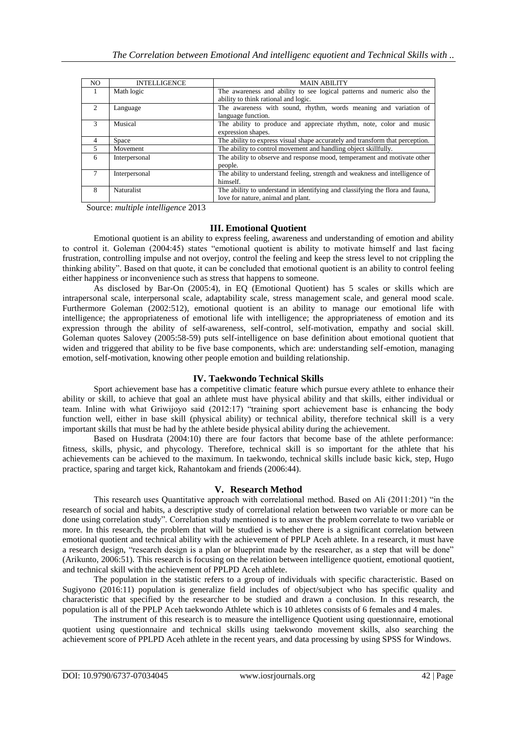| N <sub>O</sub> | <b>INTELLIGENCE</b> | <b>MAIN ABILITY</b>                                                           |  |  |  |  |
|----------------|---------------------|-------------------------------------------------------------------------------|--|--|--|--|
|                | Math logic          | The awareness and ability to see logical patterns and numeric also the        |  |  |  |  |
|                |                     | ability to think rational and logic.                                          |  |  |  |  |
| $\mathcal{D}$  | Language            | The awareness with sound, rhythm, words meaning and variation of              |  |  |  |  |
|                |                     | language function.                                                            |  |  |  |  |
| $\mathcal{L}$  | Musical             | The ability to produce and appreciate rhythm, note, color and music           |  |  |  |  |
|                |                     | expression shapes.                                                            |  |  |  |  |
| 4              | Space               | The ability to express visual shape accurately and transform that perception. |  |  |  |  |
| 5              | Movement            | The ability to control movement and handling object skillfully.               |  |  |  |  |
| 6              | Interpersonal       | The ability to observe and response mood, temperament and motivate other      |  |  |  |  |
|                |                     | people.                                                                       |  |  |  |  |
|                | Interpersonal       | The ability to understand feeling, strength and weakness and intelligence of  |  |  |  |  |
|                |                     | himself.                                                                      |  |  |  |  |
| 8              | <b>Naturalist</b>   | The ability to understand in identifying and classifying the flora and fauna, |  |  |  |  |
|                |                     | love for nature, animal and plant.                                            |  |  |  |  |

Source: *multiple intelligence* 2013

# **III. Emotional Quotient**

Emotional quotient is an ability to express feeling, awareness and understanding of emotion and ability to control it. Goleman (2004:45) states "emotional quotient is ability to motivate himself and last facing frustration, controlling impulse and not overjoy, control the feeling and keep the stress level to not crippling the thinking ability". Based on that quote, it can be concluded that emotional quotient is an ability to control feeling either happiness or inconvenience such as stress that happens to someone.

As disclosed by Bar-On (2005:4), in EQ (Emotional Quotient) has 5 scales or skills which are intrapersonal scale, interpersonal scale, adaptability scale, stress management scale, and general mood scale. Furthermore Goleman (2002:512), emotional quotient is an ability to manage our emotional life with intelligence; the appropriateness of emotional life with intelligence; the appropriateness of emotion and its expression through the ability of self-awareness, self-control, self-motivation, empathy and social skill. Goleman quotes Salovey (2005:58-59) puts self-intelligence on base definition about emotional quotient that widen and triggered that ability to be five base components, which are: understanding self-emotion, managing emotion, self-motivation, knowing other people emotion and building relationship.

# **IV. Taekwondo Technical Skills**

Sport achievement base has a competitive climatic feature which pursue every athlete to enhance their ability or skill, to achieve that goal an athlete must have physical ability and that skills, either individual or team. Inline with what Griwijoyo said (2012:17) "training sport achievement base is enhancing the body function well, either in base skill (physical ability) or technical ability, therefore technical skill is a very important skills that must be had by the athlete beside physical ability during the achievement.

Based on Husdrata (2004:10) there are four factors that become base of the athlete performance: fitness, skills, physic, and phycology. Therefore, technical skill is so important for the athlete that his achievements can be achieved to the maximum. In taekwondo, technical skills include basic kick, step, Hugo practice, sparing and target kick, Rahantokam and friends (2006:44).

# **V. Research Method**

This research uses Quantitative approach with correlational method. Based on Ali  $(2011:201)$  "in the research of social and habits, a descriptive study of correlational relation between two variable or more can be done using correlation study". Correlation study mentioned is to answer the problem correlate to two variable or more. In this research, the problem that will be studied is whether there is a significant correlation between emotional quotient and technical ability with the achievement of PPLP Aceh athlete. In a research, it must have a research design, "research design is a plan or blueprint made by the researcher, as a step that will be done" (Arikunto, 2006:51). This research is focusing on the relation between intelligence quotient, emotional quotient, and technical skill with the achievement of PPLPD Aceh athlete.

The population in the statistic refers to a group of individuals with specific characteristic. Based on Sugiyono (2016:11) population is generalize field includes of object/subject who has specific quality and characteristic that specified by the researcher to be studied and drawn a conclusion. In this research, the population is all of the PPLP Aceh taekwondo Athlete which is 10 athletes consists of 6 females and 4 males.

The instrument of this research is to measure the intelligence Quotient using questionnaire, emotional quotient using questionnaire and technical skills using taekwondo movement skills, also searching the achievement score of PPLPD Aceh athlete in the recent years, and data processing by using SPSS for Windows.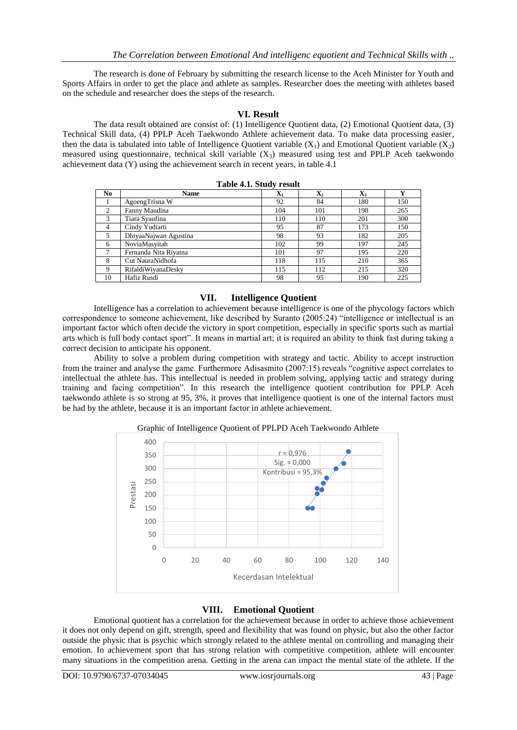The research is done of February by submitting the research license to the Aceh Minister for Youth and Sports Affairs in order to get the place and athlete as samples. Researcher does the meeting with athletes based on the schedule and researcher does the steps of the research.

# **VI. Result**

The data result obtained are consist of: (1) Intelligence Quotient data, (2) Emotional Quotient data, (3) Technical Skill data, (4) PPLP Aceh Taekwondo Athlete achievement data. To make data processing easier, then the data is tabulated into table of Intelligence Quotient variable  $(X_1)$  and Emotional Quotient variable  $(X_2)$ measured using questionnaire, technical skill variable  $(X_3)$  measured using test and PPLP Aceh taekwondo achievement data (Y) using the achievement search in recent years, in table 4.1

| N <sub>0</sub> | <b>Name</b>           | ${\bf X}_1$ | $\mathbf{X}_2$ | $\mathbf{X}_3$ | $\mathbf{v}$ |  |  |
|----------------|-----------------------|-------------|----------------|----------------|--------------|--|--|
|                | AgoengTrisna W        | 92          | 84             | 180            | 150          |  |  |
| 2              | Fanny Maudina         | 104         | 101            | 198            | 265          |  |  |
| 3              | Tiara Syaufina        | 110         | 110            | 201            | 300          |  |  |
| $\overline{4}$ | Cindy Yudiarti        | 95          | 87             | 173            | 150          |  |  |
| 5              | DhiyaaNajwan Agustina | 98          | 93             | 182            | 205          |  |  |
| 6              | NoviaMasyitah         | 102         | 99             | 197            | 245          |  |  |
| 7              | Fernanda Nita Riyatna | 101         | 97             | 195            | 220          |  |  |
| 8              | Cut NauraNidhofa      | 118         | 115            | 210            | 365          |  |  |
| $\mathbf Q$    | RifaldiWiyanaDesky    | 115         | 112            | 215            | 320          |  |  |
| 10             | Hafiz Rusdi           | 98          | 95             | 190            | 225          |  |  |

# **VII. Intelligence Quotient**

Intelligence has a correlation to achievement because intelligence is one of the phycology factors which correspondence to someone achievement, like described by Suranto (2005:24) "intelligence or intellectual is an important factor which often decide the victory in sport competition, especially in specific sports such as martial arts which is full body contact sport". It means in martial art; it is required an ability to think fast during taking a correct decision to anticipate his opponent.

Ability to solve a problem during competition with strategy and tactic. Ability to accept instruction from the trainer and analyse the game. Furthermore Adisasmito (2007:15) reveals "cognitive aspect correlates to intellectual the athlete has. This intellectual is needed in problem solving, applying tactic and strategy during training and facing competition". In this research the intelligence quotient contribution for PPLP Aceh taekwondo athlete is so strong at 95, 3%, it proves that intelligence quotient is one of the internal factors must be had by the athlete, because it is an important factor in athlete achievement.



# **VIII. Emotional Quotient**

Emotional quotient has a correlation for the achievement because in order to achieve those achievement it does not only depend on gift, strength, speed and flexibility that was found on physic, but also the other factor outside the physic that is psychic which strongly related to the athlete mental on controlling and managing their emotion. In achievement sport that has strong relation with competitive competition, athlete will encounter many situations in the competition arena. Getting in the arena can impact the mental state of the athlete. If the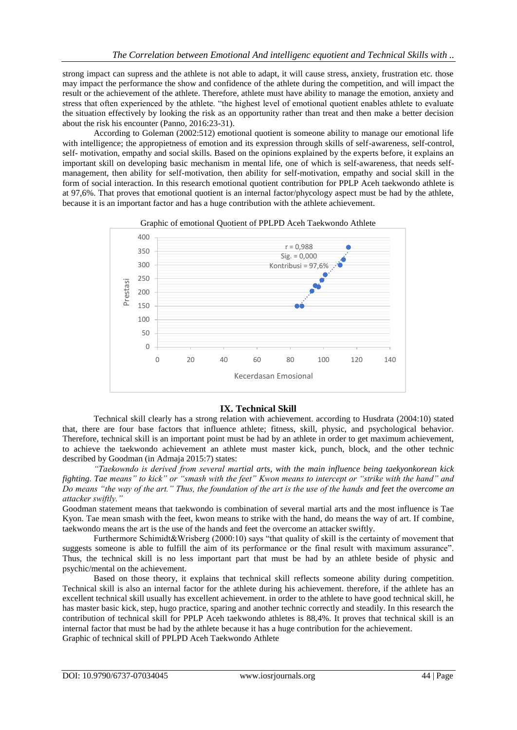strong impact can supress and the athlete is not able to adapt, it will cause stress, anxiety, frustration etc. those may impact the performance the show and confidence of the athlete during the competition, and will impact the result or the achievement of the athlete. Therefore, athlete must have ability to manage the emotion, anxiety and stress that often experienced by the athlete. "the highest level of emotional quotient enables athlete to evaluate the situation effectively by looking the risk as an opportunity rather than treat and then make a better decision about the risk his encounter (Panno, 2016:23-31).

According to Goleman (2002:512) emotional quotient is someone ability to manage our emotional life with intelligence; the appropietness of emotion and its expression through skills of self-awareness, self-control, self- motivation, empathy and social skills. Based on the opinions explained by the experts before, it explains an important skill on developing basic mechanism in mental life, one of which is self-awareness, that needs selfmanagement, then ability for self-motivation, then ability for self-motivation, empathy and social skill in the form of social interaction. In this research emotional quotient contribution for PPLP Aceh taekwondo athlete is at 97,6%. That proves that emotional quotient is an internal factor/phycology aspect must be had by the athlete, because it is an important factor and has a huge contribution with the athlete achievement.





# **IX. Technical Skill**

Technical skill clearly has a strong relation with achievement. according to Husdrata (2004:10) stated that, there are four base factors that influence athlete; fitness, skill, physic, and psychological behavior. Therefore, technical skill is an important point must be had by an athlete in order to get maximum achievement, to achieve the taekwondo achievement an athlete must master kick, punch, block, and the other technic described by Goodman (in Admaja 2015:7) states:

*"Taekowndo is derived from several martial arts, with the main influence being taekyonkorean kick fighting. Tae means" to kick" or "smash with the feet" Kwon means to intercept or "strike with the hand" and Do means "the way of the art." Thus, the foundation of the art is the use of the hands and feet the overcome an attacker swiftly."*

Goodman statement means that taekwondo is combination of several martial arts and the most influence is Tae Kyon. Tae mean smash with the feet, kwon means to strike with the hand, do means the way of art. If combine, taekwondo means the art is the use of the hands and feet the overcome an attacker swiftly.

Furthermore Schimidt&Wrisberg (2000:10) says "that quality of skill is the certainty of movement that suggests someone is able to fulfill the aim of its performance or the final result with maximum assurance". Thus, the technical skill is no less important part that must be had by an athlete beside of physic and psychic/mental on the achievement.

Based on those theory, it explains that technical skill reflects someone ability during competition. Technical skill is also an internal factor for the athlete during his achievement. therefore, if the athlete has an excellent technical skill usually has excellent achievement. in order to the athlete to have good technical skill, he has master basic kick, step, hugo practice, sparing and another technic correctly and steadily. In this research the contribution of technical skill for PPLP Aceh taekwondo athletes is 88,4%. It proves that technical skill is an internal factor that must be had by the athlete because it has a huge contribution for the achievement. Graphic of technical skill of PPLPD Aceh Taekwondo Athlete